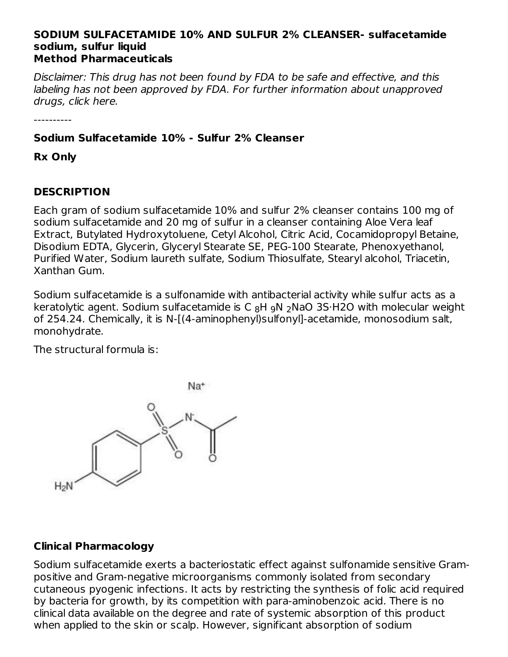#### **SODIUM SULFACETAMIDE 10% AND SULFUR 2% CLEANSER- sulfacetamide sodium, sulfur liquid Method Pharmaceuticals**

Disclaimer: This drug has not been found by FDA to be safe and effective, and this labeling has not been approved by FDA. For further information about unapproved drugs, click here.

----------

## **Sodium Sulfacetamide 10% - Sulfur 2% Cleanser**

**Rx Only**

## **DESCRIPTION**

Each gram of sodium sulfacetamide 10% and sulfur 2% cleanser contains 100 mg of sodium sulfacetamide and 20 mg of sulfur in a cleanser containing Aloe Vera leaf Extract, Butylated Hydroxytoluene, Cetyl Alcohol, Citric Acid, Cocamidopropyl Betaine, Disodium EDTA, Glycerin, Glyceryl Stearate SE, PEG-100 Stearate, Phenoxyethanol, Purified Water, Sodium laureth sulfate, Sodium Thiosulfate, Stearyl alcohol, Triacetin, Xanthan Gum.

Sodium sulfacetamide is a sulfonamide with antibacterial activity while sulfur acts as a keratolytic agent. Sodium sulfacetamide is C  $_8$ H  $_2$ N $_2$ NaO 3S·H2O with molecular weight of 254.24. Chemically, it is N-[(4-aminophenyl)sulfonyl]-acetamide, monosodium salt, monohydrate.

The structural formula is:



## **Clinical Pharmacology**

Sodium sulfacetamide exerts a bacteriostatic effect against sulfonamide sensitive Grampositive and Gram-negative microorganisms commonly isolated from secondary cutaneous pyogenic infections. It acts by restricting the synthesis of folic acid required by bacteria for growth, by its competition with para-aminobenzoic acid. There is no clinical data available on the degree and rate of systemic absorption of this product when applied to the skin or scalp. However, significant absorption of sodium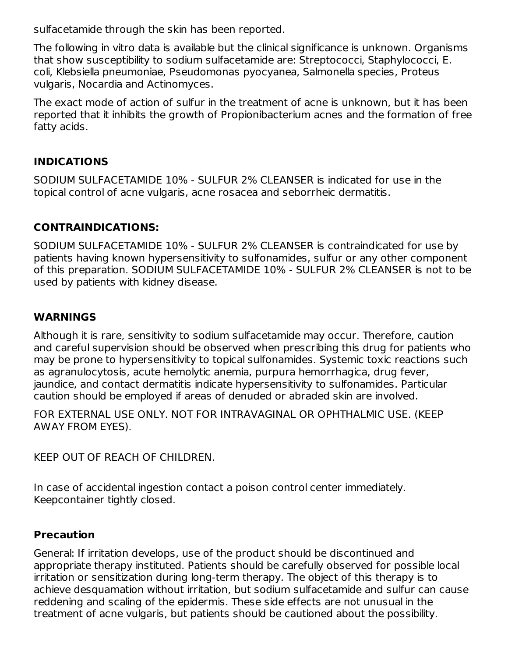sulfacetamide through the skin has been reported.

The following in vitro data is available but the clinical significance is unknown. Organisms that show susceptibility to sodium sulfacetamide are: Streptococci, Staphylococci, E. coli, Klebsiella pneumoniae, Pseudomonas pyocyanea, Salmonella species, Proteus vulgaris, Nocardia and Actinomyces.

The exact mode of action of sulfur in the treatment of acne is unknown, but it has been reported that it inhibits the growth of Propionibacterium acnes and the formation of free fatty acids.

#### **INDICATIONS**

SODIUM SULFACETAMIDE 10% - SULFUR 2% CLEANSER is indicated for use in the topical control of acne vulgaris, acne rosacea and seborrheic dermatitis.

### **CONTRAINDICATIONS:**

SODIUM SULFACETAMIDE 10% - SULFUR 2% CLEANSER is contraindicated for use by patients having known hypersensitivity to sulfonamides, sulfur or any other component of this preparation. SODIUM SULFACETAMIDE 10% - SULFUR 2% CLEANSER is not to be used by patients with kidney disease.

#### **WARNINGS**

Although it is rare, sensitivity to sodium sulfacetamide may occur. Therefore, caution and careful supervision should be observed when prescribing this drug for patients who may be prone to hypersensitivity to topical sulfonamides. Systemic toxic reactions such as agranulocytosis, acute hemolytic anemia, purpura hemorrhagica, drug fever, jaundice, and contact dermatitis indicate hypersensitivity to sulfonamides. Particular caution should be employed if areas of denuded or abraded skin are involved.

FOR EXTERNAL USE ONLY. NOT FOR INTRAVAGINAL OR OPHTHALMIC USE. (KEEP AWAY FROM EYES).

KEEP OUT OF REACH OF CHILDREN.

In case of accidental ingestion contact a poison control center immediately. Keepcontainer tightly closed.

#### **Precaution**

General: If irritation develops, use of the product should be discontinued and appropriate therapy instituted. Patients should be carefully observed for possible local irritation or sensitization during long-term therapy. The object of this therapy is to achieve desquamation without irritation, but sodium sulfacetamide and sulfur can cause reddening and scaling of the epidermis. These side effects are not unusual in the treatment of acne vulgaris, but patients should be cautioned about the possibility.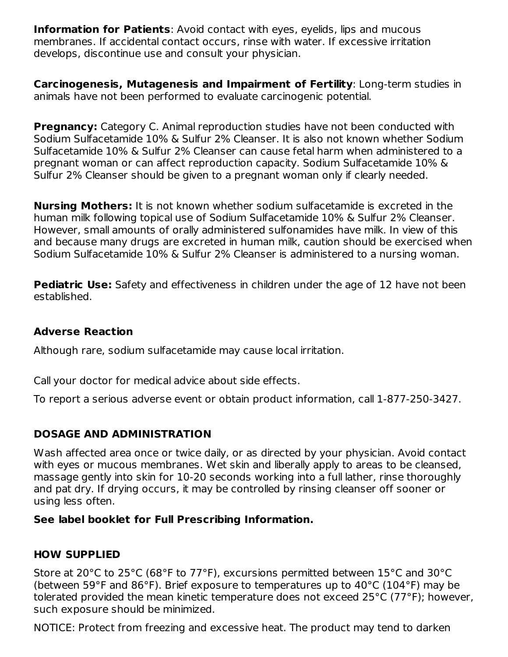**Information for Patients:** Avoid contact with eyes, eyelids, lips and mucous membranes. If accidental contact occurs, rinse with water. If excessive irritation develops, discontinue use and consult your physician.

**Carcinogenesis, Mutagenesis and Impairment of Fertility**: Long-term studies in animals have not been performed to evaluate carcinogenic potential.

**Pregnancy:** Category C. Animal reproduction studies have not been conducted with Sodium Sulfacetamide 10% & Sulfur 2% Cleanser. It is also not known whether Sodium Sulfacetamide 10% & Sulfur 2% Cleanser can cause fetal harm when administered to a pregnant woman or can affect reproduction capacity. Sodium Sulfacetamide 10% & Sulfur 2% Cleanser should be given to a pregnant woman only if clearly needed.

**Nursing Mothers:** It is not known whether sodium sulfacetamide is excreted in the human milk following topical use of Sodium Sulfacetamide 10% & Sulfur 2% Cleanser. However, small amounts of orally administered sulfonamides have milk. In view of this and because many drugs are excreted in human milk, caution should be exercised when Sodium Sulfacetamide 10% & Sulfur 2% Cleanser is administered to a nursing woman.

**Pediatric Use:** Safety and effectiveness in children under the age of 12 have not been established.

#### **Adverse Reaction**

Although rare, sodium sulfacetamide may cause local irritation.

Call your doctor for medical advice about side effects.

To report a serious adverse event or obtain product information, call 1-877-250-3427.

## **DOSAGE AND ADMINISTRATION**

Wash affected area once or twice daily, or as directed by your physician. Avoid contact with eyes or mucous membranes. Wet skin and liberally apply to areas to be cleansed, massage gently into skin for 10-20 seconds working into a full lather, rinse thoroughly and pat dry. If drying occurs, it may be controlled by rinsing cleanser off sooner or using less often.

## **See label booklet for Full Prescribing Information.**

## **HOW SUPPLIED**

Store at 20°C to 25°C (68°F to 77°F), excursions permitted between 15°C and 30°C (between 59°F and 86°F). Brief exposure to temperatures up to 40°C (104°F) may be tolerated provided the mean kinetic temperature does not exceed 25°C (77°F); however, such exposure should be minimized.

NOTICE: Protect from freezing and excessive heat. The product may tend to darken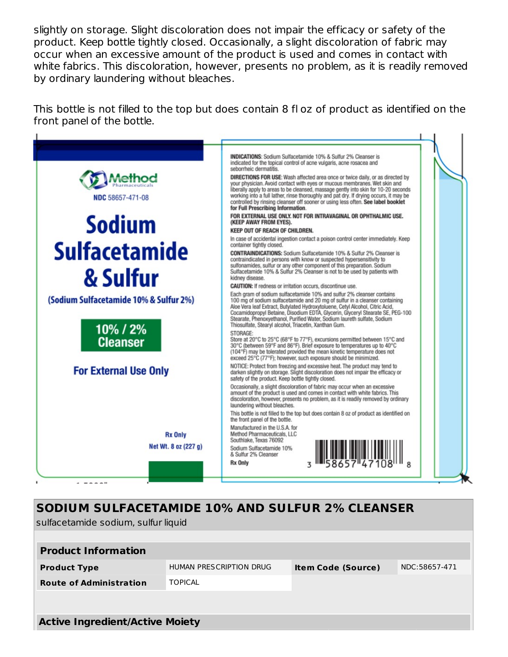slightly on storage. Slight discoloration does not impair the efficacy or safety of the product. Keep bottle tightly closed. Occasionally, a slight discoloration of fabric may occur when an excessive amount of the product is used and comes in contact with white fabrics. This discoloration, however, presents no problem, as it is readily removed by ordinary laundering without bleaches.

This bottle is not filled to the top but does contain 8 fl oz of product as identified on the front panel of the bottle.



# **SODIUM SULFACETAMIDE 10% AND SULFUR 2% CLEANSER**

sulfacetamide sodium, sulfur liquid

| <b>Product Information</b>             |                         |                           |               |  |  |  |
|----------------------------------------|-------------------------|---------------------------|---------------|--|--|--|
| <b>Product Type</b>                    | HUMAN PRESCRIPTION DRUG | <b>Item Code (Source)</b> | NDC:58657-471 |  |  |  |
| <b>Route of Administration</b>         | <b>TOPICAL</b>          |                           |               |  |  |  |
|                                        |                         |                           |               |  |  |  |
|                                        |                         |                           |               |  |  |  |
| <b>Active Ingredient/Active Moiety</b> |                         |                           |               |  |  |  |